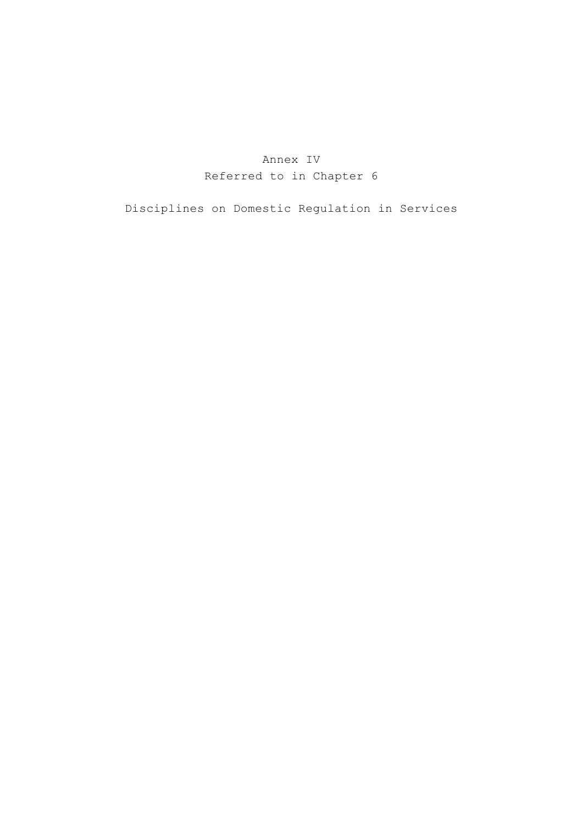# Annex IV Referred to in Chapter 6

Disciplines on Domestic Regulation in Services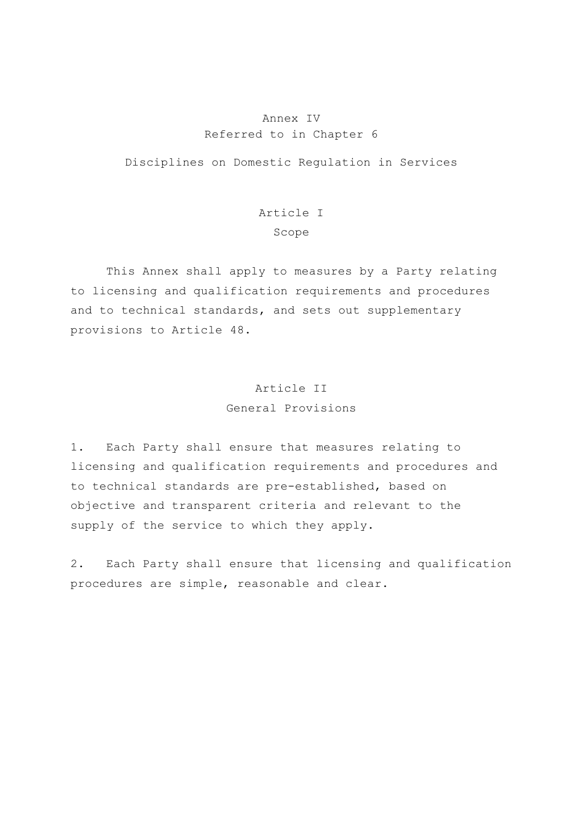### Annex IV Referred to in Chapter 6

Disciplines on Domestic Regulation in Services

# Article I Scope

 This Annex shall apply to measures by a Party relating to licensing and qualification requirements and procedures and to technical standards, and sets out supplementary provisions to Article 48.

## Article II General Provisions

1. Each Party shall ensure that measures relating to licensing and qualification requirements and procedures and to technical standards are pre-established, based on objective and transparent criteria and relevant to the supply of the service to which they apply.

2. Each Party shall ensure that licensing and qualification procedures are simple, reasonable and clear.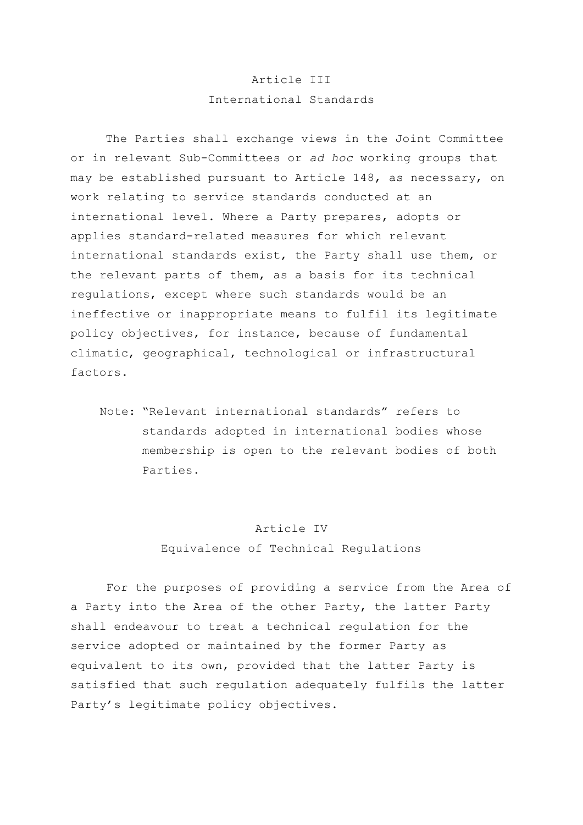## Article III International Standards

 The Parties shall exchange views in the Joint Committee or in relevant Sub-Committees or *ad hoc* working groups that may be established pursuant to Article 148, as necessary, on work relating to service standards conducted at an international level. Where a Party prepares, adopts or applies standard-related measures for which relevant international standards exist, the Party shall use them, or the relevant parts of them, as a basis for its technical regulations, except where such standards would be an ineffective or inappropriate means to fulfil its legitimate policy objectives, for instance, because of fundamental climatic, geographical, technological or infrastructural factors.

 Note: "Relevant international standards" refers to standards adopted in international bodies whose membership is open to the relevant bodies of both Parties.

#### Article IV

Equivalence of Technical Regulations

 For the purposes of providing a service from the Area of a Party into the Area of the other Party, the latter Party shall endeavour to treat a technical regulation for the service adopted or maintained by the former Party as equivalent to its own, provided that the latter Party is satisfied that such regulation adequately fulfils the latter Party's legitimate policy objectives.